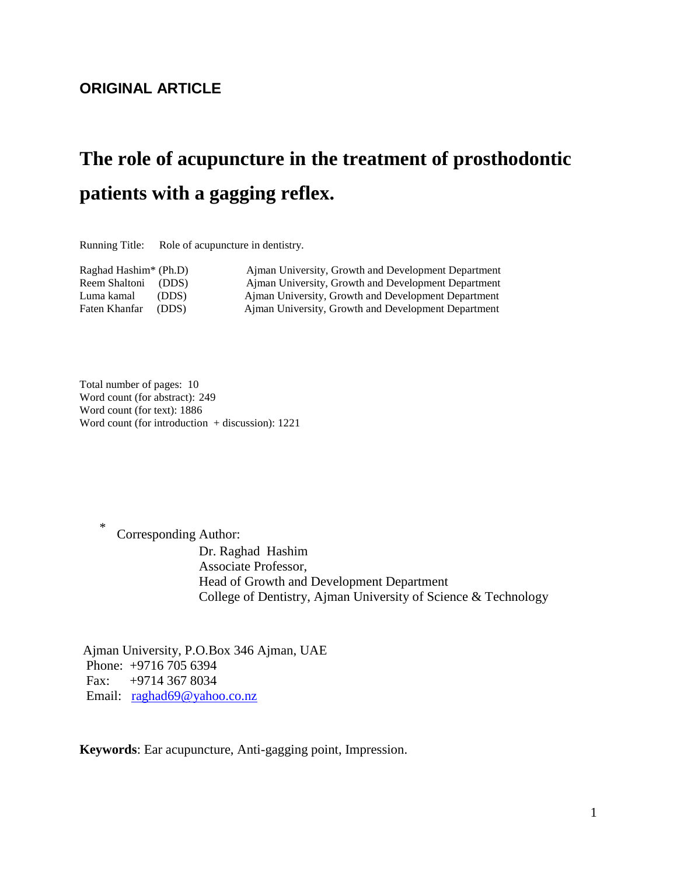## **ORIGINAL ARTICLE**

# **The role of acupuncture in the treatment of prosthodontic patients with a gagging reflex.**

Running Title: Role of acupuncture in dentistry.

Raghad Hashim\* (Ph.D) Ajman University, Growth and Development Department Reem Shaltoni (DDS) Ajman University, Growth and Development Department Luma kamal (DDS) Ajman University, Growth and Development Department Ajman University, Growth and Development Department

Total number of pages: 10 Word count (for abstract): 249 Word count (for text): 1886 Word count (for introduction  $+$  discussion): 1221

> Corresponding Author: Dr. Raghad Hashim Associate Professor, Head of Growth and Development Department College of Dentistry, Ajman University of Science & Technology

Ajman University, P.O.Box 346 Ajman, UAE Phone: +9716 705 6394 Fax: +9714 367 8034 Email: [raghad69@yahoo.co.nz](mailto:raghad69@yahoo.co.nz)

**Keywords**: Ear acupuncture, Anti-gagging point, Impression.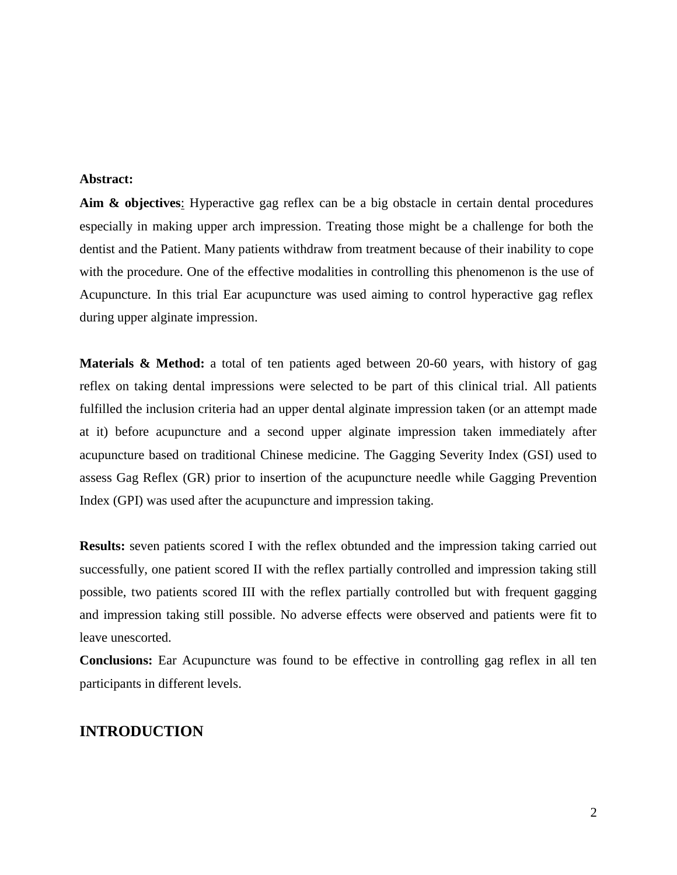#### **Abstract:**

**Aim & objectives**: Hyperactive gag reflex can be a big obstacle in certain dental procedures especially in making upper arch impression. Treating those might be a challenge for both the dentist and the Patient. Many patients withdraw from treatment because of their inability to cope with the procedure. One of the effective modalities in controlling this phenomenon is the use of Acupuncture. In this trial Ear acupuncture was used aiming to control hyperactive gag reflex during upper alginate impression.

**Materials & Method:** a total of ten patients aged between 20-60 years, with history of gag reflex on taking dental impressions were selected to be part of this clinical trial. All patients fulfilled the inclusion criteria had an upper dental alginate impression taken (or an attempt made at it) before acupuncture and a second upper alginate impression taken immediately after acupuncture based on traditional Chinese medicine. The Gagging Severity Index (GSI) used to assess Gag Reflex (GR) prior to insertion of the acupuncture needle while Gagging Prevention Index (GPI) was used after the acupuncture and impression taking.

**Results:** seven patients scored I with the reflex obtunded and the impression taking carried out successfully, one patient scored II with the reflex partially controlled and impression taking still possible, two patients scored III with the reflex partially controlled but with frequent gagging and impression taking still possible. No adverse effects were observed and patients were fit to leave unescorted.

**Conclusions:** Ear Acupuncture was found to be effective in controlling gag reflex in all ten participants in different levels.

## **INTRODUCTION**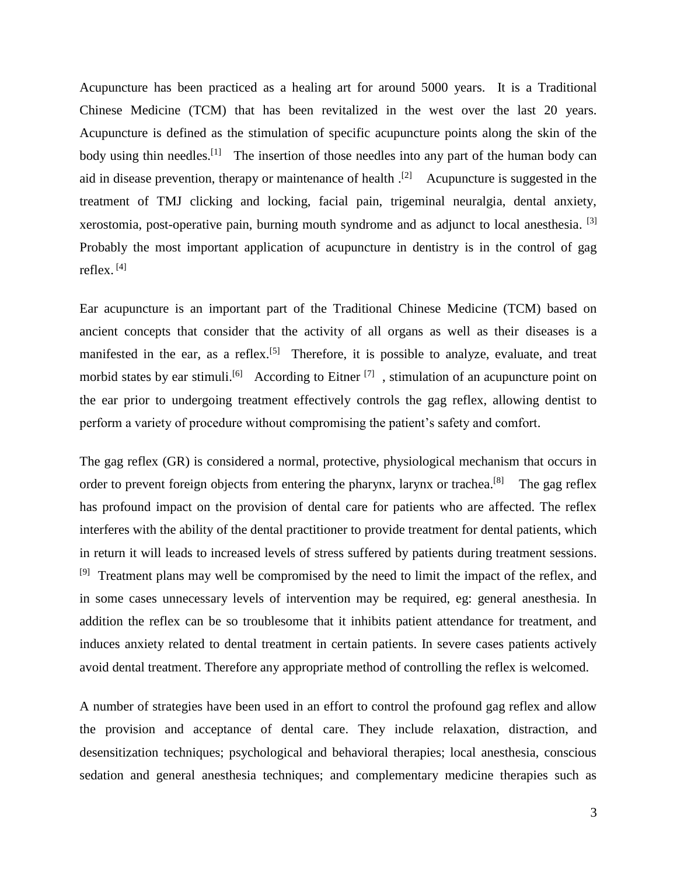Acupuncture has been practiced as a healing art for around 5000 years. It is a Traditional Chinese Medicine (TCM) that has been revitalized in the west over the last 20 years. Acupuncture is defined as the stimulation of specific acupuncture points along the skin of the body using thin needles.<sup>[1]</sup> The insertion of those needles into any part of the human body can aid in disease prevention, therapy or maintenance of health  $\cdot$ <sup>[2]</sup> Acupuncture is suggested in the treatment of TMJ clicking and locking, facial pain, trigeminal neuralgia, dental anxiety, xerostomia, post-operative pain, burning mouth syndrome and as adjunct to local anesthesia. [3] Probably the most important application of acupuncture in dentistry is in the control of gag reflex. [4]

Ear acupuncture is an important part of the Traditional Chinese Medicine (TCM) based on ancient concepts that consider that the activity of all organs as well as their diseases is a manifested in the ear, as a reflex.<sup>[5]</sup> Therefore, it is possible to analyze, evaluate, and treat morbid states by ear stimuli.<sup>[6]</sup> According to Eitner<sup>[7]</sup>, stimulation of an acupuncture point on the ear prior to undergoing treatment effectively controls the gag reflex, allowing dentist to perform a variety of procedure without compromising the patient's safety and comfort.

The gag reflex (GR) is considered a normal, protective, physiological mechanism that occurs in order to prevent foreign objects from entering the pharynx, larynx or trachea.<sup>[8]</sup> The gag reflex has profound impact on the provision of dental care for patients who are affected. The reflex interferes with the ability of the dental practitioner to provide treatment for dental patients, which in return it will leads to increased levels of stress suffered by patients during treatment sessions. <sup>[9]</sup> Treatment plans may well be compromised by the need to limit the impact of the reflex, and in some cases unnecessary levels of intervention may be required, eg: general anesthesia. In addition the reflex can be so troublesome that it inhibits patient attendance for treatment, and induces anxiety related to dental treatment in certain patients. In severe cases patients actively avoid dental treatment. Therefore any appropriate method of controlling the reflex is welcomed.

A number of strategies have been used in an effort to control the profound gag reflex and allow the provision and acceptance of dental care. They include relaxation, distraction, and desensitization techniques; psychological and behavioral therapies; local anesthesia, conscious sedation and general anesthesia techniques; and complementary medicine therapies such as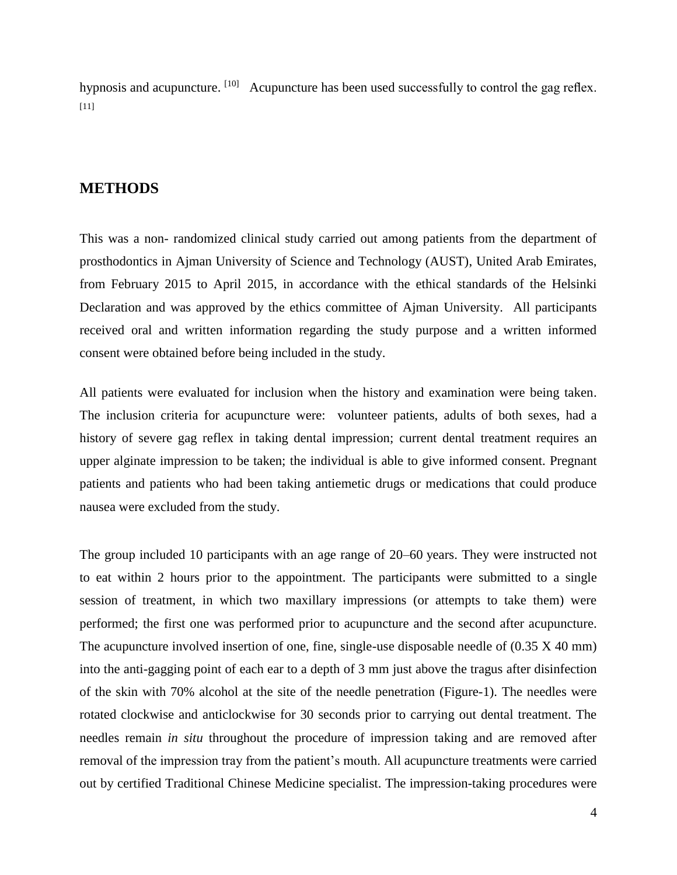hypnosis and acupuncture. <sup>[10]</sup> Acupuncture has been used successfully to control the gag reflex.  $[11]$ 

#### **METHODS**

This was a non- randomized clinical study carried out among patients from the department of prosthodontics in Ajman University of Science and Technology (AUST), United Arab Emirates, from February 2015 to April 2015, in accordance with the ethical standards of the Helsinki Declaration and was approved by the ethics committee of Ajman University. All participants received oral and written information regarding the study purpose and a written informed consent were obtained before being included in the study.

All patients were evaluated for inclusion when the history and examination were being taken. The inclusion criteria for acupuncture were: volunteer patients, adults of both sexes, had a history of severe gag reflex in taking dental impression; current dental treatment requires an upper alginate impression to be taken; the individual is able to give informed consent. Pregnant patients and patients who had been taking antiemetic drugs or medications that could produce nausea were excluded from the study.

The group included 10 participants with an age range of 20–60 years. They were instructed not to eat within 2 hours prior to the appointment. The participants were submitted to a single session of treatment, in which two maxillary impressions (or attempts to take them) were performed; the first one was performed prior to acupuncture and the second after acupuncture. The acupuncture involved insertion of one, fine, single-use disposable needle of  $(0.35 \text{ X } 40 \text{ mm})$ into the anti-gagging point of each ear to a depth of 3 mm just above the tragus after disinfection of the skin with 70% alcohol at the site of the needle penetration (Figure-1). The needles were rotated clockwise and anticlockwise for 30 seconds prior to carrying out dental treatment. The needles remain *in situ* throughout the procedure of impression taking and are removed after removal of the impression tray from the patient's mouth. All acupuncture treatments were carried out by certified Traditional Chinese Medicine specialist. The impression-taking procedures were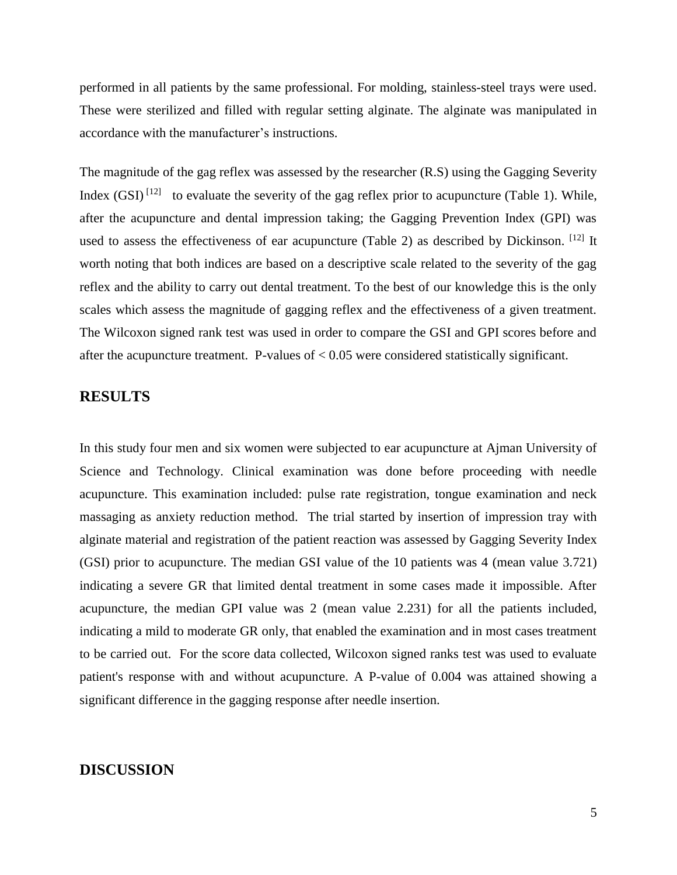performed in all patients by the same professional. For molding, stainless-steel trays were used. These were sterilized and filled with regular setting alginate. The alginate was manipulated in accordance with the manufacturer's instructions.

The magnitude of the gag reflex was assessed by the researcher (R.S) using the Gagging Severity Index  $(GSI)$ <sup>[12]</sup> to evaluate the severity of the gag reflex prior to acupuncture (Table 1). While, after the acupuncture and dental impression taking; the Gagging Prevention Index (GPI) was used to assess the effectiveness of ear acupuncture (Table 2) as described by Dickinson. [12] It worth noting that both indices are based on a descriptive scale related to the severity of the gag reflex and the ability to carry out dental treatment. To the best of our knowledge this is the only scales which assess the magnitude of gagging reflex and the effectiveness of a given treatment. The Wilcoxon signed rank test was used in order to compare the GSI and GPI scores before and after the acupuncture treatment. P-values of < 0.05 were considered statistically significant.

## **RESULTS**

In this study four men and six women were subjected to ear acupuncture at Ajman University of Science and Technology. Clinical examination was done before proceeding with needle acupuncture. This examination included: pulse rate registration, tongue examination and neck massaging as anxiety reduction method. The trial started by insertion of impression tray with alginate material and registration of the patient reaction was assessed by Gagging Severity Index (GSI) prior to acupuncture. The median GSI value of the 10 patients was 4 (mean value 3.721) indicating a severe GR that limited dental treatment in some cases made it impossible. After acupuncture, the median GPI value was 2 (mean value 2.231) for all the patients included, indicating a mild to moderate GR only, that enabled the examination and in most cases treatment to be carried out. For the score data collected, Wilcoxon signed ranks test was used to evaluate patient's response with and without acupuncture. A P-value of 0.004 was attained showing a significant difference in the gagging response after needle insertion.

#### **DISCUSSION**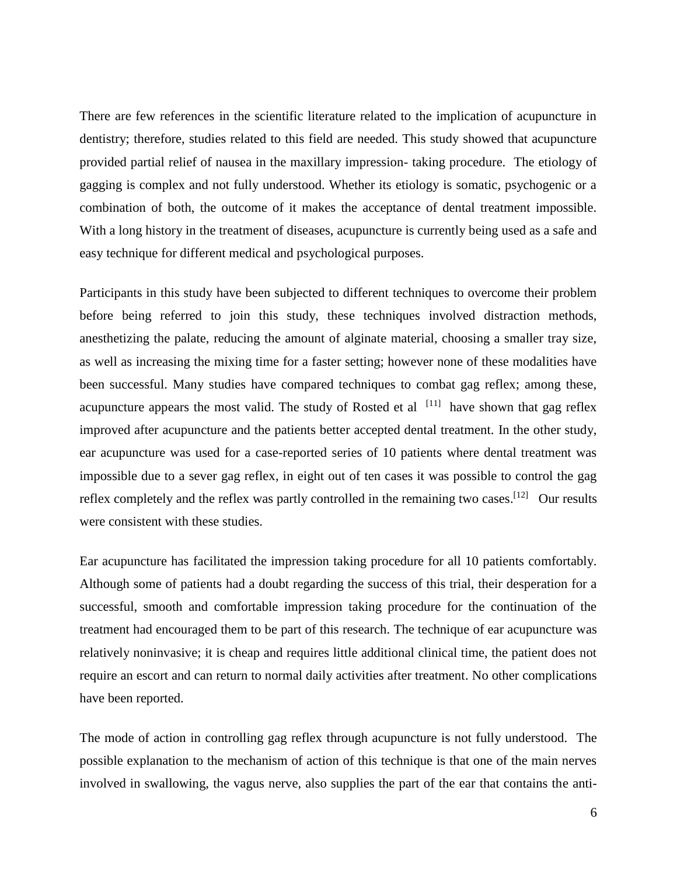There are few references in the scientific literature related to the implication of acupuncture in dentistry; therefore, studies related to this field are needed. This study showed that acupuncture provided partial relief of nausea in the maxillary impression- taking procedure. The etiology of gagging is complex and not fully understood. Whether its etiology is somatic, psychogenic or a combination of both, the outcome of it makes the acceptance of dental treatment impossible. With a long history in the treatment of diseases, acupuncture is currently being used as a safe and easy technique for different medical and psychological purposes.

Participants in this study have been subjected to different techniques to overcome their problem before being referred to join this study, these techniques involved distraction methods, anesthetizing the palate, reducing the amount of alginate material, choosing a smaller tray size, as well as increasing the mixing time for a faster setting; however none of these modalities have been successful. Many studies have compared techniques to combat gag reflex; among these, acupuncture appears the most valid. The study of Rosted et al  $[11]$  have shown that gag reflex improved after acupuncture and the patients better accepted dental treatment. In the other study, ear acupuncture was used for a case-reported series of 10 patients where dental treatment was impossible due to a sever gag reflex, in eight out of ten cases it was possible to control the gag reflex completely and the reflex was partly controlled in the remaining two cases.<sup>[12]</sup> Our results were consistent with these studies.

Ear acupuncture has facilitated the impression taking procedure for all 10 patients comfortably. Although some of patients had a doubt regarding the success of this trial, their desperation for a successful, smooth and comfortable impression taking procedure for the continuation of the treatment had encouraged them to be part of this research. The technique of ear acupuncture was relatively noninvasive; it is cheap and requires little additional clinical time, the patient does not require an escort and can return to normal daily activities after treatment. No other complications have been reported.

The mode of action in controlling gag reflex through acupuncture is not fully understood. The possible explanation to the mechanism of action of this technique is that one of the main nerves involved in swallowing, the vagus nerve, also supplies the part of the ear that contains the anti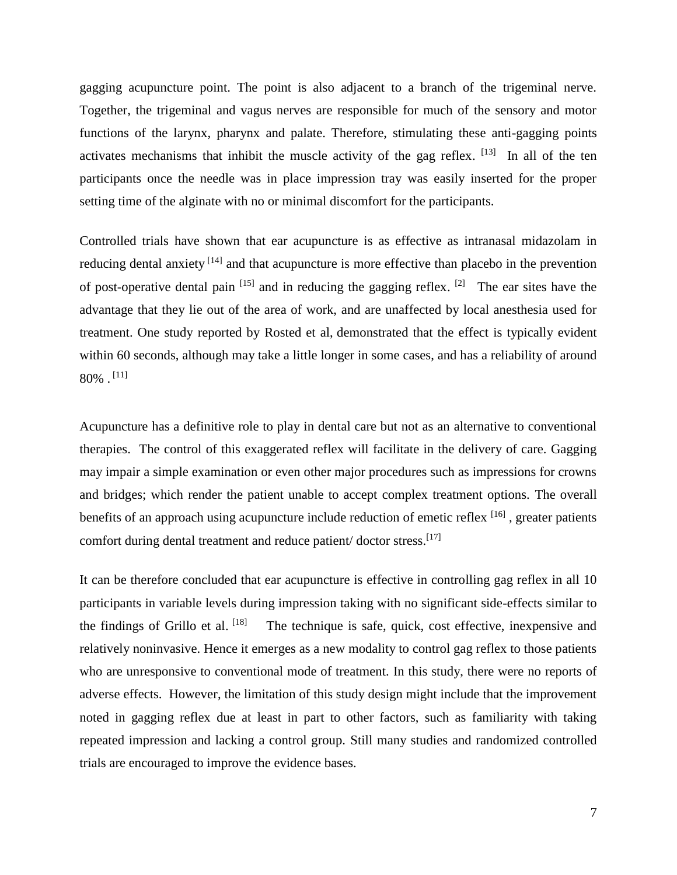gagging acupuncture point. The point is also adjacent to a branch of the trigeminal nerve. Together, the trigeminal and vagus nerves are responsible for much of the sensory and motor functions of the larynx, pharynx and palate. Therefore, stimulating these anti-gagging points activates mechanisms that inhibit the muscle activity of the gag reflex.  $[13]$  In all of the ten participants once the needle was in place impression tray was easily inserted for the proper setting time of the alginate with no or minimal discomfort for the participants.

Controlled trials have shown that ear acupuncture is as effective as intranasal midazolam in reducing dental anxiety <sup>[14]</sup> and that acupuncture is more effective than placebo in the prevention of post-operative dental pain  $[15]$  and in reducing the gagging reflex.  $[2]$  The ear sites have the advantage that they lie out of the area of work, and are unaffected by local anesthesia used for treatment. One study reported by Rosted et al, demonstrated that the effect is typically evident within 60 seconds, although may take a little longer in some cases, and has a reliability of around  $80\%$  .  $^{[11]}$ 

Acupuncture has a definitive role to play in dental care but not as an alternative to conventional therapies. The control of this exaggerated reflex will facilitate in the delivery of care. Gagging may impair a simple examination or even other major procedures such as impressions for crowns and bridges; which render the patient unable to accept complex treatment options. The overall benefits of an approach using acupuncture include reduction of emetic reflex  $[16]$ , greater patients comfort during dental treatment and reduce patient/ doctor stress.<sup>[17]</sup>

It can be therefore concluded that ear acupuncture is effective in controlling gag reflex in all 10 participants in variable levels during impression taking with no significant side-effects similar to the findings of Grillo et al. The technique is safe, quick, cost effective, inexpensive and relatively noninvasive. Hence it emerges as a new modality to control gag reflex to those patients who are unresponsive to conventional mode of treatment. In this study, there were no reports of adverse effects. However, the limitation of this study design might include that the improvement noted in gagging reflex due at least in part to other factors, such as familiarity with taking repeated impression and lacking a control group. Still many studies and randomized controlled trials are encouraged to improve the evidence bases.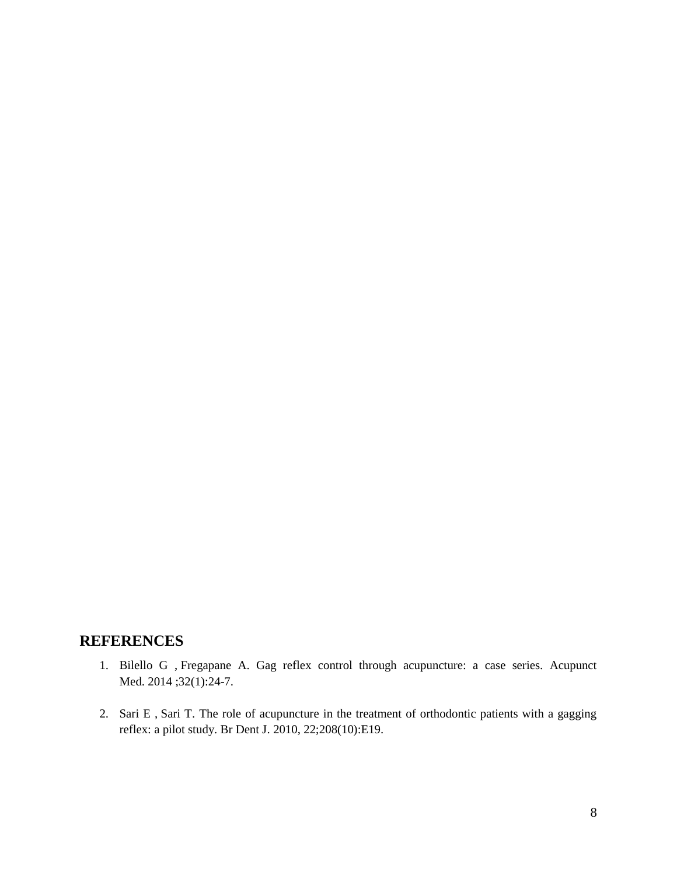## **REFERENCES**

- 1. Bilello G , Fregapane A. Gag reflex control through acupuncture: a case series. Acupunct Med. 2014;32(1):24-7.
- 2. Sari E , Sari T. The role of acupuncture in the treatment of orthodontic patients with a gagging reflex: a pilot study. Br Dent J. 2010, 22;208(10):E19.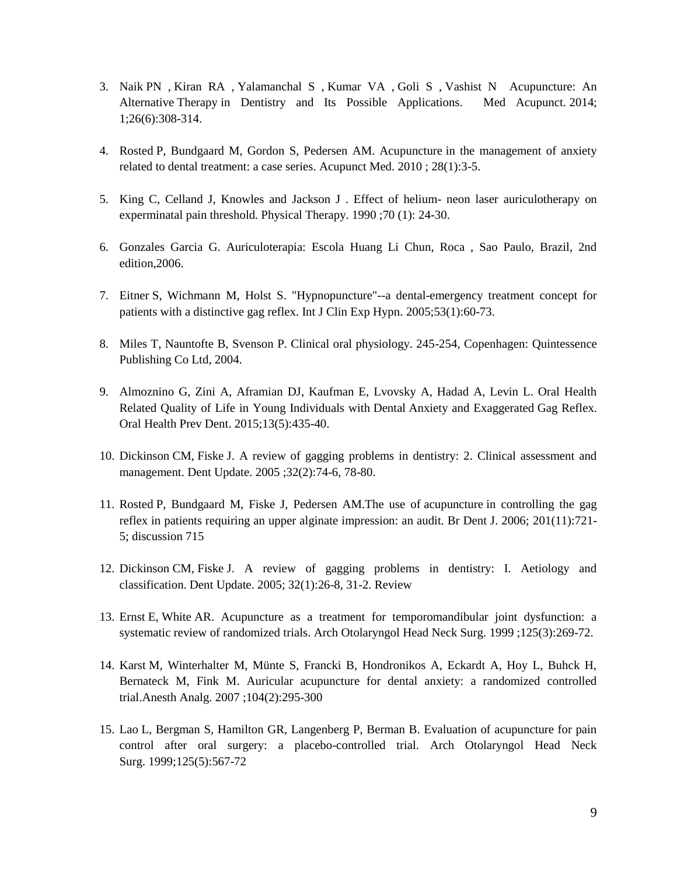- 3. Naik PN , Kiran RA , Yalamanchal S , Kumar VA , Goli S , Vashist N Acupuncture: An Alternative Therapy in Dentistry and Its Possible Applications. Med Acupunct. 2014; 1;26(6):308-314.
- 4. Rosted P, Bundgaard M, Gordon S, Pedersen AM. Acupuncture in the management of anxiety related to dental treatment: a case series. Acupunct Med. 2010 ; 28(1):3-5.
- 5. King C, Celland J, Knowles and Jackson J . Effect of helium- neon laser auriculotherapy on experminatal pain threshold. Physical Therapy. 1990 ;70 (1): 24-30.
- 6. Gonzales Garcia G. Auriculoterapia: Escola Huang Li Chun, Roca , Sao Paulo, Brazil, 2nd edition,2006.
- 7. Eitner S, Wichmann M, Holst S. "Hypnopuncture"--a dental-emergency treatment concept for patients with a distinctive gag reflex. Int J Clin Exp Hypn. 2005;53(1):60-73.
- 8. Miles T, Nauntofte B, Svenson P. Clinical oral physiology. 245-254, Copenhagen: Quintessence Publishing Co Ltd, 2004.
- 9. Almoznino G, Zini A, Aframian DJ, Kaufman E, Lvovsky A, Hadad A, Levin L. Oral Health Related Quality of Life in Young Individuals with Dental Anxiety and Exaggerated Gag Reflex. Oral Health Prev Dent. 2015;13(5):435-40.
- 10. Dickinson CM, Fiske J. A review of gagging problems in dentistry: 2. Clinical assessment and management. Dent Update. 2005 ;32(2):74-6, 78-80.
- 11. Rosted P, Bundgaard M, Fiske J, Pedersen AM.The use of acupuncture in controlling the gag reflex in patients requiring an upper alginate impression: an audit. Br Dent J. 2006; 201(11):721- 5; discussion 715
- 12. Dickinson CM, Fiske J. A review of gagging problems in dentistry: I. Aetiology and classification. Dent Update. 2005; 32(1):26-8, 31-2. Review
- 13. Ernst E, White AR. Acupuncture as a treatment for temporomandibular joint dysfunction: a systematic review of randomized trials. Arch Otolaryngol Head Neck Surg. 1999 ;125(3):269-72.
- 14. Karst M, Winterhalter M, Münte S, Francki B, Hondronikos A, Eckardt A, Hoy L, Buhck H, Bernateck M, Fink M. Auricular acupuncture for dental anxiety: a randomized controlled trial.Anesth Analg. 2007 ;104(2):295-300
- 15. Lao L, Bergman S, Hamilton GR, Langenberg P, Berman B. Evaluation of acupuncture for pain control after oral surgery: a placebo-controlled trial. Arch Otolaryngol Head Neck Surg. 1999;125(5):567-72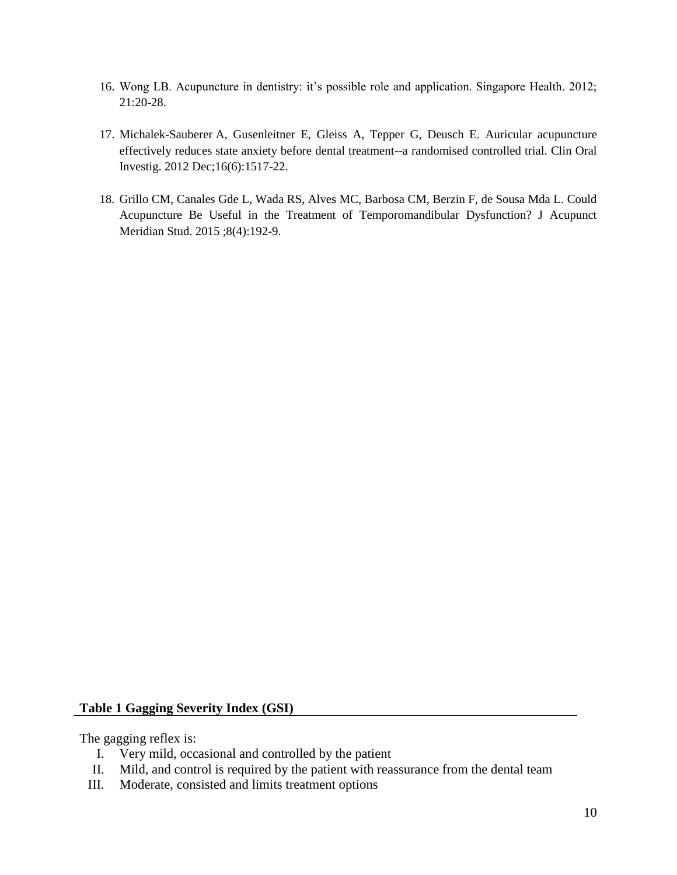- 16. Wong LB. Acupuncture in dentistry: it's possible role and application. Singapore Health. 2012; 21:20-28.
- 17. Michalek-Sauberer A, Gusenleitner E, Gleiss A, Tepper G, Deusch E. Auricular acupuncture effectively reduces state anxiety before dental treatment--a randomised controlled trial. Clin Oral Investig. 2012 Dec;16(6):1517-22.
- 18. Grillo CM, Canales Gde L, Wada RS, Alves MC, Barbosa CM, Berzin F, de Sousa Mda L. Could Acupuncture Be Useful in the Treatment of Temporomandibular Dysfunction? J Acupunct Meridian Stud. 2015 ;8(4):192-9.

#### **Table 1 Gagging Severity Index (GSI)**

The gagging reflex is:

- I. Very mild, occasional and controlled by the patient
- II. Mild, and control is required by the patient with reassurance from the dental team
- III. Moderate, consisted and limits treatment options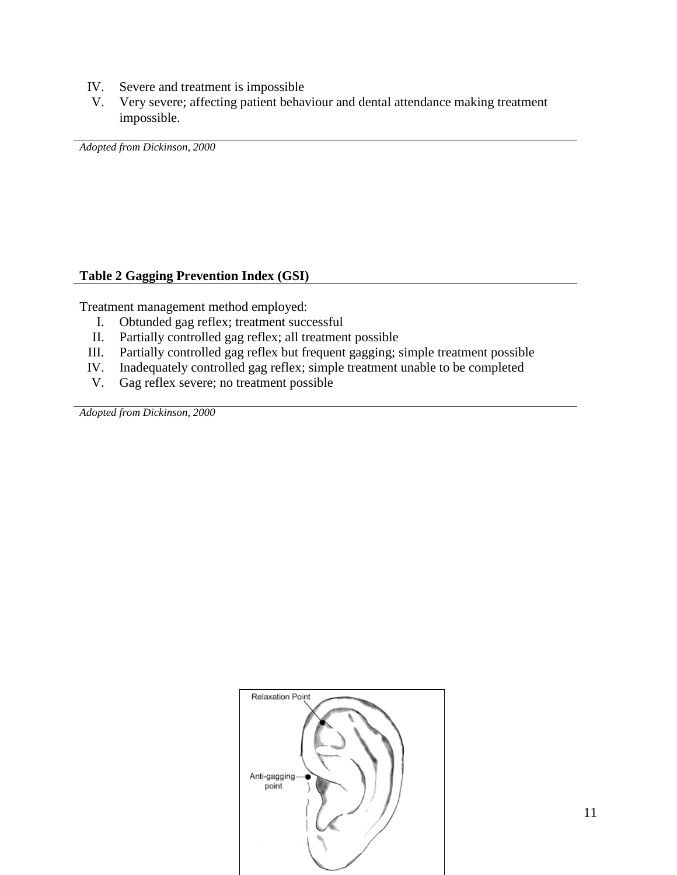- IV. Severe and treatment is impossible
- V. Very severe; affecting patient behaviour and dental attendance making treatment impossible.

*Adopted from Dickinson, 2000*

## **Table 2 Gagging Prevention Index (GSI)**

Treatment management method employed:

- I. Obtunded gag reflex; treatment successful
- II. Partially controlled gag reflex; all treatment possible
- III. Partially controlled gag reflex but frequent gagging; simple treatment possible
- IV. Inadequately controlled gag reflex; simple treatment unable to be completed
- V. Gag reflex severe; no treatment possible

*Adopted from Dickinson, 2000*